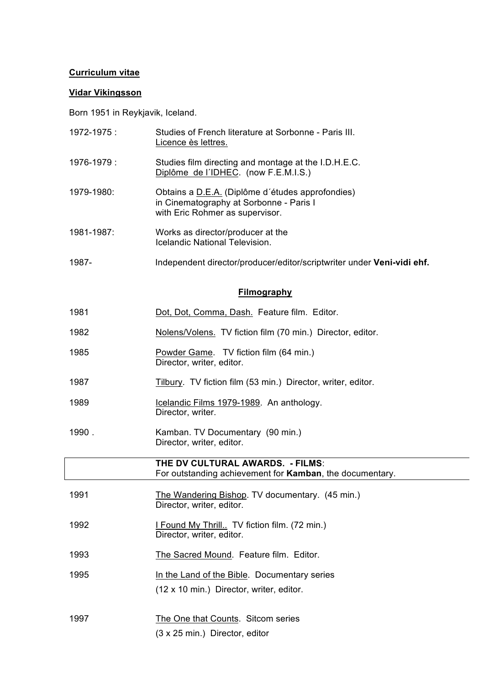## **Curriculum vitae**

## **Vidar Vikingsson**

Born 1951 in Reykjavik, Iceland.

| 1972-1975:         | Studies of French literature at Sorbonne - Paris III.<br>Licence ès lettres.                                                   |  |
|--------------------|--------------------------------------------------------------------------------------------------------------------------------|--|
| 1976-1979:         | Studies film directing and montage at the I.D.H.E.C.<br>Diplôme de l'IDHEC. (now F.E.M.I.S.)                                   |  |
| 1979-1980:         | Obtains a D.E.A. (Diplôme d'études approfondies)<br>in Cinematography at Sorbonne - Paris I<br>with Eric Rohmer as supervisor. |  |
| 1981-1987:         | Works as director/producer at the<br>Icelandic National Television.                                                            |  |
| 1987-              | Independent director/producer/editor/scriptwriter under Veni-vidi ehf.                                                         |  |
| <b>Filmography</b> |                                                                                                                                |  |
| 1981               | Dot, Dot, Comma, Dash. Feature film. Editor.                                                                                   |  |
| 1982               | Nolens/Volens. TV fiction film (70 min.) Director, editor.                                                                     |  |
| 1095               | Dowder Came $TV$ fiction film $(64 \text{ min})$                                                                               |  |

- 1985 **Powder Game.** TV fiction film (64 min.) Director, writer, editor.
- 1987 Tilbury. TV fiction film (53 min.) Director, writer, editor.

(3 x 25 min.) Director, editor

- 1989 Icelandic Films 1979-1989. An anthology. Director, writer.
- 1990 . Kamban. TV Documentary (90 min.) Director, writer, editor.

|      | THE DV CULTURAL AWARDS. - FILMS:<br>For outstanding achievement for <b>Kamban</b> , the documentary. |
|------|------------------------------------------------------------------------------------------------------|
| 1991 | The Wandering Bishop. TV documentary. (45 min.)<br>Director, writer, editor.                         |
| 1992 | I Found My Thrill TV fiction film. (72 min.)<br>Director, writer, editor.                            |
| 1993 | The Sacred Mound. Feature film. Editor.                                                              |
| 1995 | In the Land of the Bible. Documentary series<br>(12 x 10 min.) Director, writer, editor.             |
| 1997 | The One that Counts. Sitcom series                                                                   |